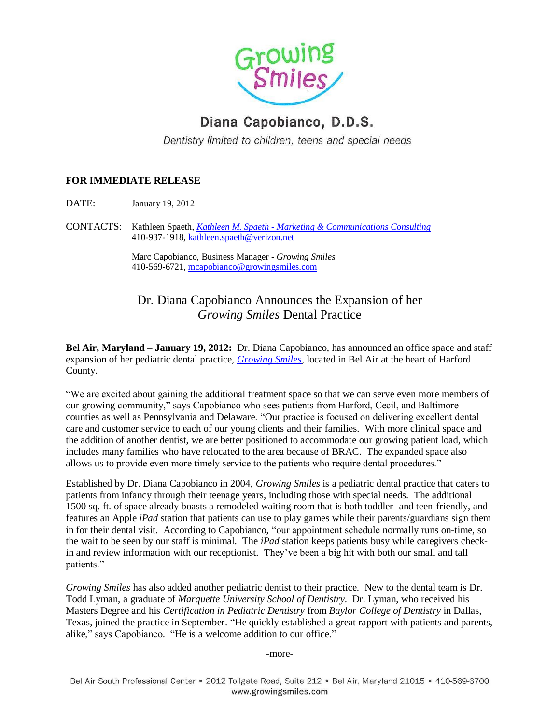

## Diana Capobianco, D.D.S.

Dentistry limited to children, teens and special needs

## **FOR IMMEDIATE RELEASE**

DATE: January 19, 2012

CONTACTS: Kathleen Spaeth, *Kathleen M. Spaeth - Marketing [& Communications Consulting](http://kathleenmspaeth.vpweb.com/)* 410-937-1918[, kathleen.spaeth@verizon.net](mailto:kathleen.spaeth@verizon.net)

> Marc Capobianco, Business Manager *- Growing Smiles* 410-569-6721[, mcapobianco@growingsmiles.com](mailto:mcapobianco@growingsmiles.com)

## Dr. Diana Capobianco Announces the Expansion of her *Growing Smiles* Dental Practice

**Bel Air, Maryland – January 19, 2012:** Dr. Diana Capobianco, has announced an office space and staff expansion of her pediatric dental practice, *[Growing Smiles](http://www.growingsmiles.com/)*, located in Bel Air at the heart of Harford County.

"We are excited about gaining the additional treatment space so that we can serve even more members of our growing community," says Capobianco who sees patients from Harford, Cecil, and Baltimore counties as well as Pennsylvania and Delaware. "Our practice is focused on delivering excellent dental care and customer service to each of our young clients and their families. With more clinical space and the addition of another dentist, we are better positioned to accommodate our growing patient load, which includes many families who have relocated to the area because of BRAC. The expanded space also allows us to provide even more timely service to the patients who require dental procedures."

Established by Dr. Diana Capobianco in 2004, *Growing Smiles* is a pediatric dental practice that caters to patients from infancy through their teenage years, including those with special needs. The additional 1500 sq. ft. of space already boasts a remodeled waiting room that is both toddler- and teen-friendly, and features an Apple *iPad* station that patients can use to play games while their parents/guardians sign them in for their dental visit. According to Capobianco, "our appointment schedule normally runs on-time, so the wait to be seen by our staff is minimal. The *iPad* station keeps patients busy while caregivers checkin and review information with our receptionist. They've been a big hit with both our small and tall patients."

*Growing Smiles* has also added another pediatric dentist to their practice. New to the dental team is Dr. Todd Lyman, a graduate of *Marquette University School of Dentistry*. Dr. Lyman, who received his Masters Degree and his *Certification in Pediatric Dentistry* from *Baylor College of Dentistry* in Dallas, Texas, joined the practice in September. "He quickly established a great rapport with patients and parents, alike," says Capobianco. "He is a welcome addition to our office."

-more-